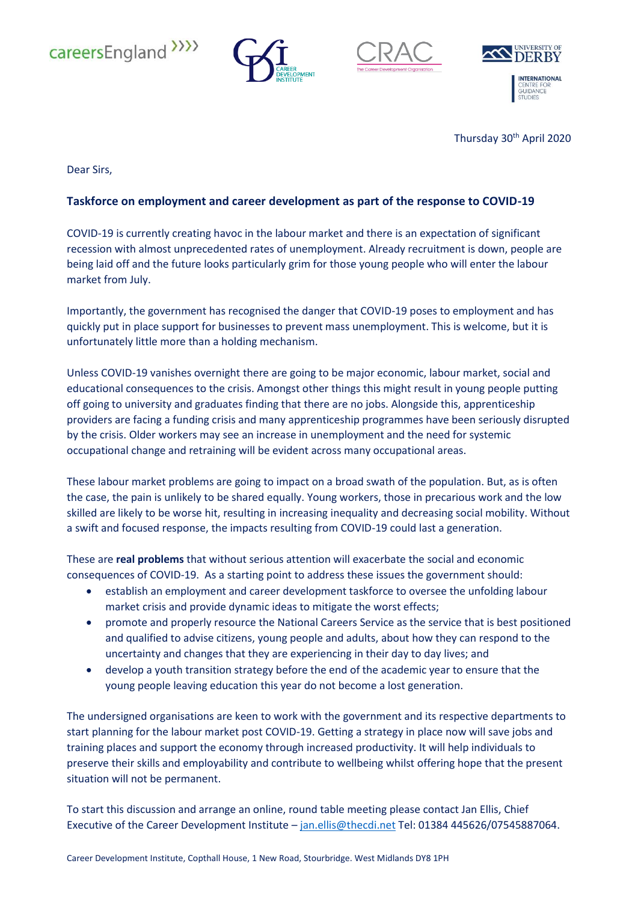







Thursday 30<sup>th</sup> April 2020

Dear Sirs,

## **Taskforce on employment and career development as part of the response to COVID-19**

COVID-19 is currently creating havoc in the labour market and there is an expectation of significant recession with almost unprecedented rates of unemployment. Already recruitment is down, people are being laid off and the future looks particularly grim for those young people who will enter the labour market from July.

Importantly, the government has recognised the danger that COVID-19 poses to employment and has quickly put in place support for businesses to prevent mass unemployment. This is welcome, but it is unfortunately little more than a holding mechanism.

Unless COVID-19 vanishes overnight there are going to be major economic, labour market, social and educational consequences to the crisis. Amongst other things this might result in young people putting off going to university and graduates finding that there are no jobs. Alongside this, apprenticeship providers are facing a funding crisis and many apprenticeship programmes have been seriously disrupted by the crisis. Older workers may see an increase in unemployment and the need for systemic occupational change and retraining will be evident across many occupational areas.

These labour market problems are going to impact on a broad swath of the population. But, as is often the case, the pain is unlikely to be shared equally. Young workers, those in precarious work and the low skilled are likely to be worse hit, resulting in increasing inequality and decreasing social mobility. Without a swift and focused response, the impacts resulting from COVID-19 could last a generation.

These are **real problems** that without serious attention will exacerbate the social and economic consequences of COVID-19. As a starting point to address these issues the government should:

- establish an employment and career development taskforce to oversee the unfolding labour market crisis and provide dynamic ideas to mitigate the worst effects;
- promote and properly resource the National Careers Service as the service that is best positioned and qualified to advise citizens, young people and adults, about how they can respond to the uncertainty and changes that they are experiencing in their day to day lives; and
- develop a youth transition strategy before the end of the academic year to ensure that the young people leaving education this year do not become a lost generation.

The undersigned organisations are keen to work with the government and its respective departments to start planning for the labour market post COVID-19. Getting a strategy in place now will save jobs and training places and support the economy through increased productivity. It will help individuals to preserve their skills and employability and contribute to wellbeing whilst offering hope that the present situation will not be permanent.

To start this discussion and arrange an online, round table meeting please contact Jan Ellis, Chief Executive of the Career Development Institute - [jan.ellis@thecdi.net](mailto:jan.ellis@thecdi.net) Tel: 01384 445626/07545887064.